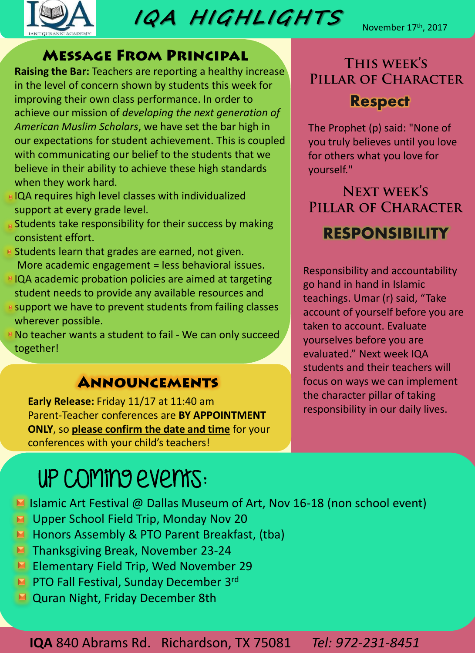

**IQA H IGHL IGHTS** 

## **MESSAGE FROM PRINCIPAL**

**Raising the Bar:** Teachers are reporting a healthy increase in the level of concern shown by students this week for improving their own class performance. In order to achieve our mission of *developing the next generation of American Muslim Scholars*, we have set the bar high in our expectations for student achievement. This is coupled with communicating our belief to the students that we believe in their ability to achieve these high standards when they work hard.

- **EIQA requires high level classes with individualized** support at every grade level.
- **R** Students take responsibility for their success by making consistent effort.
- **E** Students learn that grades are earned, not given. More academic engagement = less behavioral issues.
- **FIQA academic probation policies are aimed at targeting** student needs to provide any available resources and
- **E** support we have to prevent students from failing classes wherever possible.
- **No teacher wants a student to fail We can only succeed** together!

## **ANNOUNCEMENTS**

**Early Release:** Friday 11/17 at 11:40 am Parent-Teacher conferences are **BY APPOINTMENT ONLY**, so **please confirm the date and time** for your conferences with your child's teachers!

# UP coming events:

- Islamic Art Festival @ Dallas Museum of Art, Nov 16-18 (non school event)
- **E** Upper School Field Trip, Monday Nov 20
- **H** Honors Assembly & PTO Parent Breakfast, (tba)
- **Thanksgiving Break, November 23-24**
- Elementary Field Trip, Wed November 29
- **PTO Fall Festival, Sunday December 3rd**
- **M** Quran Night, Friday December 8th

**IQA** 840 Abrams Rd. Richardson, TX 75081 *Tel: 972-231-8451*

THIS WEEK'S PILLAR OF CHARACTER **Respect**

The Prophet (p) said: "None of you truly believes until you love for others what you love for yourself."

**NEXT WEEK'S** PILLAR OF CHARACTER **RESPONSIBILITY**

Responsibility and accountability go hand in hand in Islamic teachings. Umar (r) said, "Take account of yourself before you are taken to account. Evaluate yourselves before you are evaluated." Next week IQA students and their teachers will focus on ways we can implement the character pillar of taking responsibility in our daily lives.